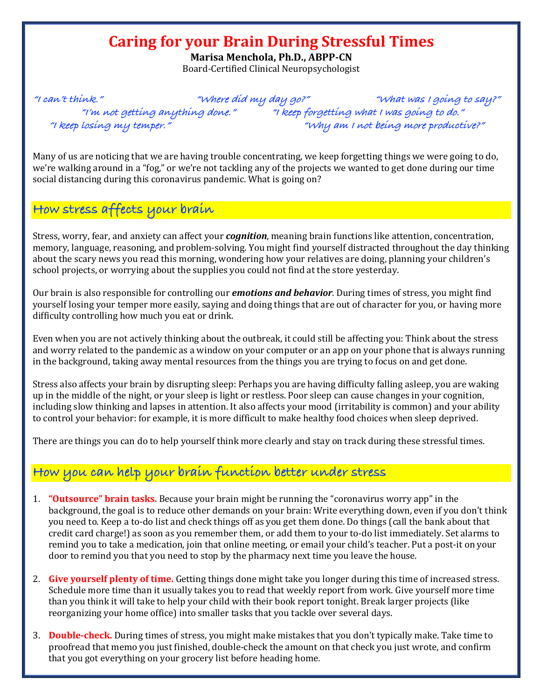## **Caring for your Brain During Stressful Times**

**Marisa Menchola, Ph.D., ABPP-CN** Board-Certified Clinical Neuropsychologist

**"I can't think." "Where did my day go?" "What was I going to say?" "I'm not getting anything done." "I keep forgetting what I was going to do." "I keep losing my temper." "Why am I not being more productive?"**

Many of us are noticing that we are having trouble concentrating, we keep forgetting things we were going to do, we're walking around in a "fog," or we're not tackling any of the projects we wanted to get done during our time social distancing during this coronavirus pandemic. What is going on?

## **How stress affects your brain**

Stress, worry, fear, and anxiety can affect your *cognition*, meaning brain functions like attention, concentration, memory, language, reasoning, and problem-solving. You might find yourself distracted throughout the day thinking about the scary news you read this morning, wondering how your relatives are doing, planning your children's school projects, or worrying about the supplies you could not find at the store yesterday.

Our brain is also responsible for controlling our *emotions and behavior*. During times of stress, you might find yourself losing your temper more easily, saying and doing things that are out of character for you, or having more difficulty controlling how much you eat or drink.

Even when you are not actively thinking about the outbreak, it could still be affecting you: Think about the stress and worry related to the pandemic as a window on your computer or an app on your phone that is always running in the background, taking away mental resources from the things you are trying to focus on and get done.

Stress also affects your brain by disrupting sleep: Perhaps you are having difficulty falling asleep, you are waking up in the middle of the night, or your sleep is light or restless. Poor sleep can cause changes in your cognition, including slow thinking and lapses in attention. It also affects your mood (irritability is common) and your ability to control your behavior: for example, it is more difficult to make healthy food choices when sleep deprived.

There are things you can do to help yourself think more clearly and stay on track during these stressful times.

## **How you can help your brain function better under stress**

- **1. "Outsource" brain tasks.** Because your brain might be running the "coronavirus worry app" in the background, the goal is to reduce other demands on your brain: Write everything down, even if you don't think you need to. Keep a to-do list and check things off as you get them done. Do things (call the bank about that credit card charge!) as soon as you remember them, or add them to your to-do list immediately. Set alarms to remind you to take a medication, join that online meeting, or email your child's teacher. Put a post-it on your door to remind you that you need to stop by the pharmacy next time you leave the house.
- 2. **Give yourself plenty of time.** Getting things done might take you longer during this time of increased stress. Schedule more time than it usually takes you to read that weekly report from work. Give yourself more time than you think it will take to help your child with their book report tonight. Break larger projects (like reorganizing your home office) into smaller tasks that you tackle over several days.
- 3. **Double-check.** During times of stress, you might make mistakes that you don't typically make. Take time to proofread that memo you just finished, double-check the amount on that check you just wrote, and confirm that you got everything on your grocery list before heading home.